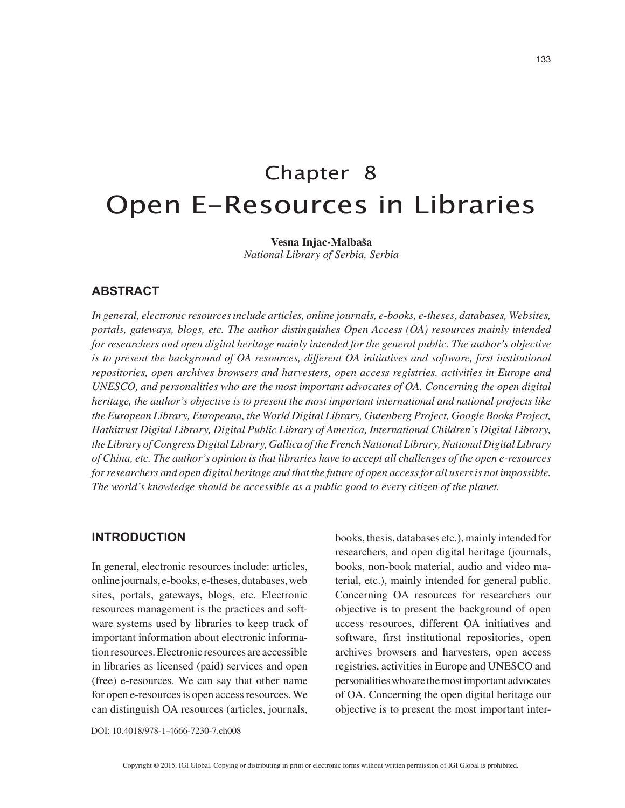# Chapter 8 Open E-Resources in Libraries

**Vesna Injac-Malbaša** *National Library of Serbia, Serbia*

## **ABSTRACT**

*In general, electronic resources include articles, online journals, e-books, e-theses, databases, Websites, portals, gateways, blogs, etc. The author distinguishes Open Access (OA) resources mainly intended for researchers and open digital heritage mainly intended for the general public. The author's objective is to present the background of OA resources, different OA initiatives and software, first institutional repositories, open archives browsers and harvesters, open access registries, activities in Europe and UNESCO, and personalities who are the most important advocates of OA. Concerning the open digital heritage, the author's objective is to present the most important international and national projects like the European Library, Europeana, the World Digital Library, Gutenberg Project, Google Books Project, Hathitrust Digital Library, Digital Public Library of America, International Children's Digital Library, the Library of Congress Digital Library, Gallica of the French National Library, National Digital Library of China, etc. The author's opinion is that libraries have to accept all challenges of the open e-resources for researchers and open digital heritage and that the future of open access for all users is not impossible. The world's knowledge should be accessible as a public good to every citizen of the planet.*

### **INTRODUCTION**

In general, electronic resources include: articles, online journals, e-books, e-theses, databases, web sites, portals, gateways, blogs, etc. Electronic resources management is the practices and software systems used by libraries to keep track of important information about electronic information resources. Electronic resources are accessible in libraries as licensed (paid) services and open (free) e-resources. We can say that other name for open e-resources is open access resources. We can distinguish OA resources (articles, journals,

books, thesis, databases etc.), mainly intended for researchers, and open digital heritage (journals, books, non-book material, audio and video material, etc.), mainly intended for general public. Concerning OA resources for researchers our objective is to present the background of open access resources, different OA initiatives and software, first institutional repositories, open archives browsers and harvesters, open access registries, activities in Europe and UNESCO and personalities who are the most important advocates of OA. Concerning the open digital heritage our objective is to present the most important inter-

DOI: 10.4018/978-1-4666-7230-7.ch008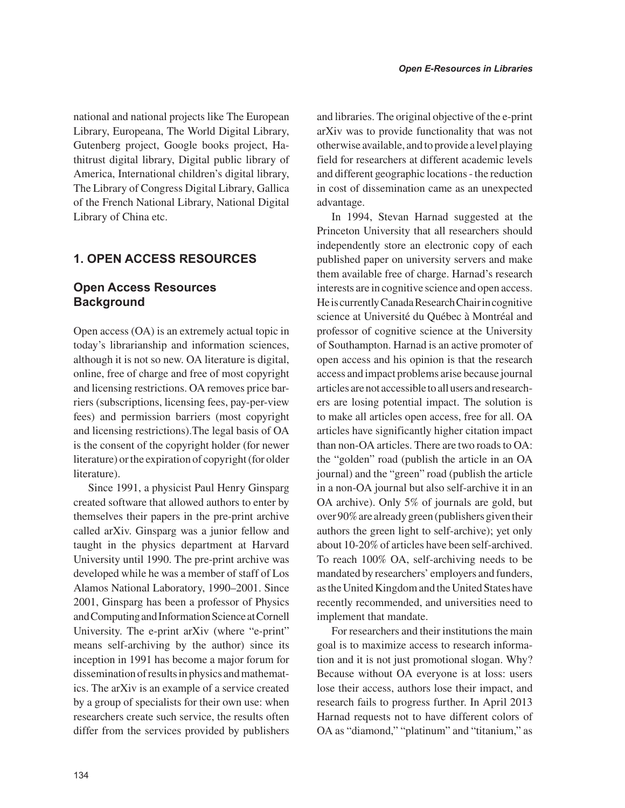national and national projects like The European Library, Europeana, The World Digital Library, Gutenberg project, Google books project, Hathitrust digital library, Digital public library of America, International children's digital library, The Library of Congress Digital Library, Gallica of the French National Library, National Digital Library of China etc.

# **1. OPEN ACCESS RESOURCES**

# **Open Access Resources Background**

Open access (OA) is an extremely actual topic in today's librarianship and information sciences, although it is not so new. OA literature is digital, online, free of charge and free of most copyright and licensing restrictions. OA removes price barriers (subscriptions, licensing fees, pay-per-view fees) and permission barriers (most copyright and licensing restrictions).The legal basis of OA is the consent of the copyright holder (for newer literature) or the expiration of copyright (for older literature).

Since 1991, a physicist Paul Henry Ginsparg created software that allowed authors to enter by themselves their papers in the pre-print archive called arXiv. Ginsparg was a junior fellow and taught in the physics department at Harvard University until 1990. The pre-print archive was developed while he was a member of staff of Los Alamos National Laboratory, 1990–2001. Since 2001, Ginsparg has been a professor of Physics and Computing and Information Science at Cornell University. The e-print arXiv (where "e-print" means self-archiving by the author) since its inception in 1991 has become a major forum for dissemination of results in physics and mathematics. The arXiv is an example of a service created by a group of specialists for their own use: when researchers create such service, the results often differ from the services provided by publishers

and libraries. The original objective of the e-print arXiv was to provide functionality that was not otherwise available, and to provide a level playing field for researchers at different academic levels and different geographic locations - the reduction in cost of dissemination came as an unexpected advantage.

In 1994, Stevan Harnad suggested at the Princeton University that all researchers should independently store an electronic copy of each published paper on university servers and make them available free of charge. Harnad's research interests are in cognitive science and open access. He is currently Canada Research Chair in cognitive science at Université du Québec à Montréal and professor of cognitive science at the University of Southampton. Harnad is an active promoter of open access and his opinion is that the research access and impact problems arise because journal articles are not accessible to all users and researchers are losing potential impact. The solution is to make all articles open access, free for all. OA articles have significantly higher citation impact than non-OA articles. There are two roads to OA: the "golden" road (publish the article in an OA journal) and the "green" road (publish the article in a non-OA journal but also self-archive it in an OA archive). Only 5% of journals are gold, but over 90% are already green (publishers given their authors the green light to self-archive); yet only about 10-20% of articles have been self-archived. To reach 100% OA, self-archiving needs to be mandated by researchers' employers and funders, as the United Kingdom and the United States have recently recommended, and universities need to implement that mandate.

For researchers and their institutions the main goal is to maximize access to research information and it is not just promotional slogan. Why? Because without OA everyone is at loss: users lose their access, authors lose their impact, and research fails to progress further. In April 2013 Harnad requests not to have different colors of OA as "diamond," "platinum" and "titanium," as